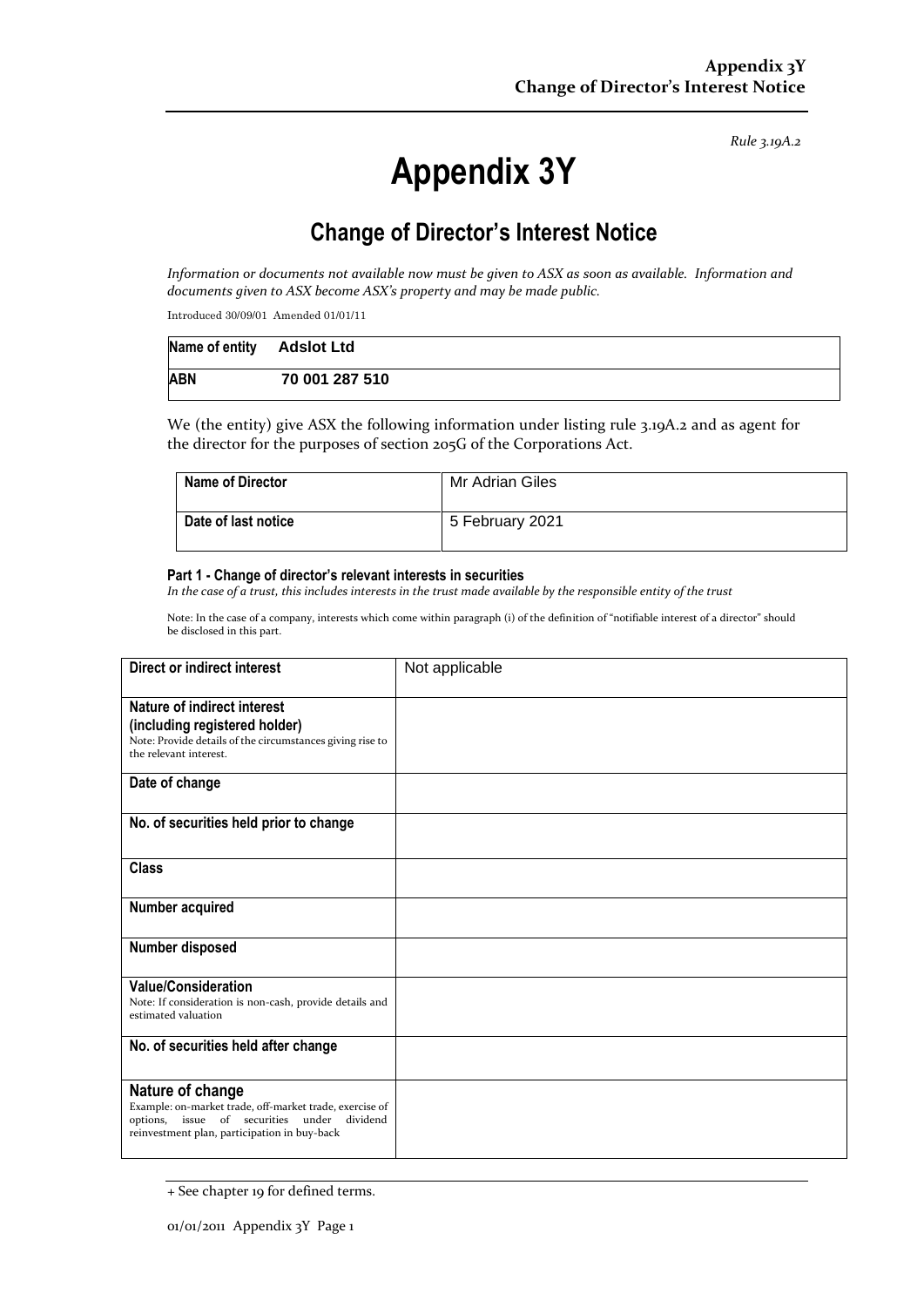*Rule 3.19A.2*

# **Appendix 3Y**

# **Change of Director's Interest Notice**

*Information or documents not available now must be given to ASX as soon as available. Information and documents given to ASX become ASX's property and may be made public.*

Introduced 30/09/01 Amended 01/01/11

| Name of entity Adslot Ltd |                |
|---------------------------|----------------|
| <b>ABN</b>                | 70 001 287 510 |

We (the entity) give ASX the following information under listing rule 3.19A.2 and as agent for the director for the purposes of section 205G of the Corporations Act.

| <b>Name of Director</b> | Mr Adrian Giles |
|-------------------------|-----------------|
| Date of last notice     | 5 February 2021 |

#### **Part 1 - Change of director's relevant interests in securities**

*In the case of a trust, this includes interests in the trust made available by the responsible entity of the trust*

Note: In the case of a company, interests which come within paragraph (i) of the definition of "notifiable interest of a director" should be disclosed in this part.

| <b>Direct or indirect interest</b>                                                                                                                                         | Not applicable |
|----------------------------------------------------------------------------------------------------------------------------------------------------------------------------|----------------|
| Nature of indirect interest<br>(including registered holder)<br>Note: Provide details of the circumstances giving rise to<br>the relevant interest.                        |                |
| Date of change                                                                                                                                                             |                |
| No. of securities held prior to change                                                                                                                                     |                |
| <b>Class</b>                                                                                                                                                               |                |
| Number acquired                                                                                                                                                            |                |
| Number disposed                                                                                                                                                            |                |
| <b>Value/Consideration</b><br>Note: If consideration is non-cash, provide details and<br>estimated valuation                                                               |                |
| No. of securities held after change                                                                                                                                        |                |
| Nature of change<br>Example: on-market trade, off-market trade, exercise of<br>options, issue of securities under dividend<br>reinvestment plan, participation in buy-back |                |

<sup>+</sup> See chapter 19 for defined terms.